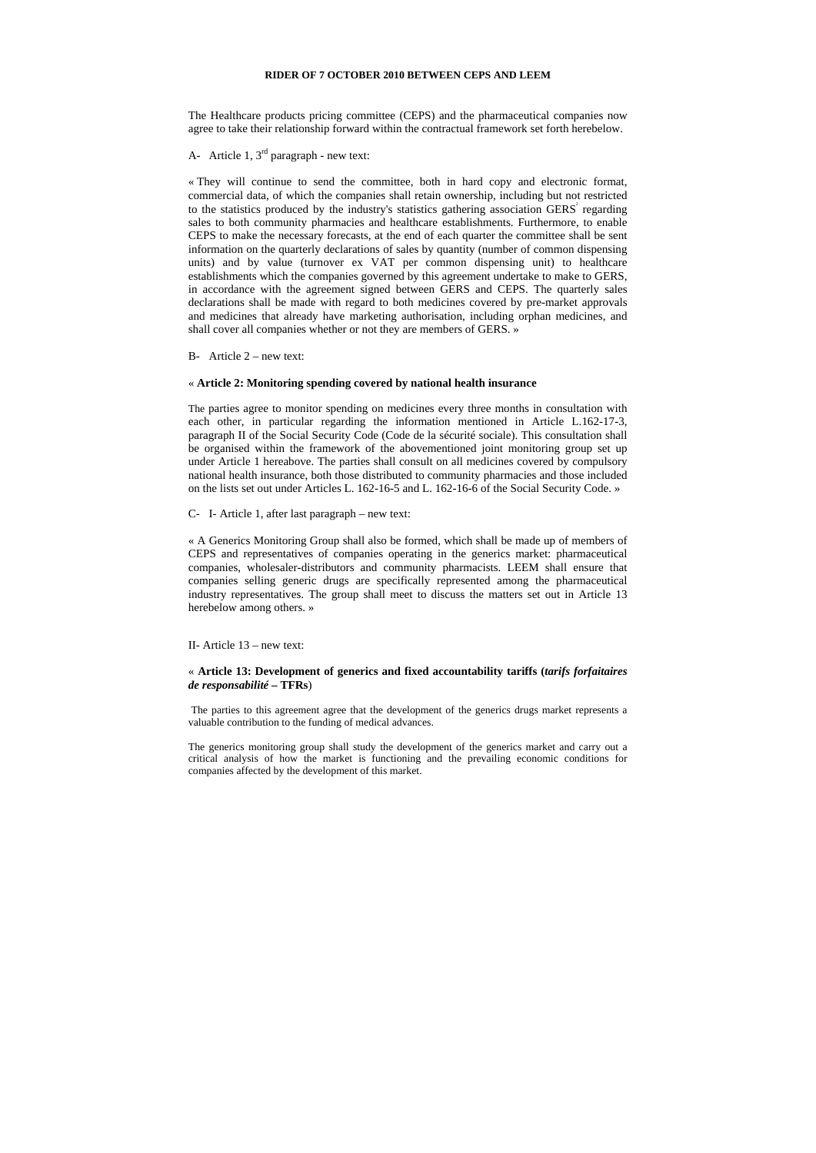#### **RIDER OF 7 OCTOBER 2010 BETWEEN CEPS AND LEEM**

The Healthcare products pricing committee (CEPS) and the pharmaceutical companies now agree to take their relationship forward within the contractual framework set forth herebelow.

A- Article 1,  $3<sup>rd</sup>$  paragraph - new text:

« They will continue to send the committee, both in hard copy and electronic format, commercial data, of which the companies shall retain ownership, including but not restricted to the statistics produced by the industry's statistics gathering association  $GERS<sup>2</sup>$  regarding sales to both community pharmacies and healthcare establishments. Furthermore, to enable CEPS to make the necessary forecasts, at the end of each quarter the committee shall be sent information on the quarterly declarations of sales by quantity (number of common dispensing units) and by value (turnover ex VAT per common dispensing unit) to healthcare establishments which the companies governed by this agreement undertake to make to GERS, in accordance with the agreement signed between GERS and CEPS. The quarterly sales declarations shall be made with regard to both medicines covered by pre-market approvals and medicines that already have marketing authorisation, including orphan medicines, and shall cover all companies whether or not they are members of GERS. »

B- Article  $2$  – new text:

## « **Article 2: Monitoring spending covered by national health insurance**

The parties agree to monitor spending on medicines every three months in consultation with each other, in particular regarding the information mentioned in Article L.162-17-3, paragraph II of the Social Security Code (Code de la sécurité sociale). This consultation shall be organised within the framework of the abovementioned joint monitoring group set up under Article 1 hereabove. The parties shall consult on all medicines covered by compulsory national health insurance, both those distributed to community pharmacies and those included on the lists set out under Articles L. 162-16-5 and L. 162-16-6 of the Social Security Code. »

C- I- Article 1, after last paragraph – new text:

« A Generics Monitoring Group shall also be formed, which shall be made up of members of CEPS and representatives of companies operating in the generics market: pharmaceutical companies, wholesaler-distributors and community pharmacists. LEEM shall ensure that companies selling generic drugs are specifically represented among the pharmaceutical industry representatives. The group shall meet to discuss the matters set out in Article 13 herebelow among others. »

II- Article 13 – new text:

# « **Article 13: Development of generics and fixed accountability tariffs (***tarifs forfaitaires de responsabilité* **– TFRs**)

The parties to this agreement agree that the development of the generics drugs market represents a valuable contribution to the funding of medical advances.

The generics monitoring group shall study the development of the generics market and carry out a critical analysis of how the market is functioning and the prevailing economic conditions for companies affected by the development of this market.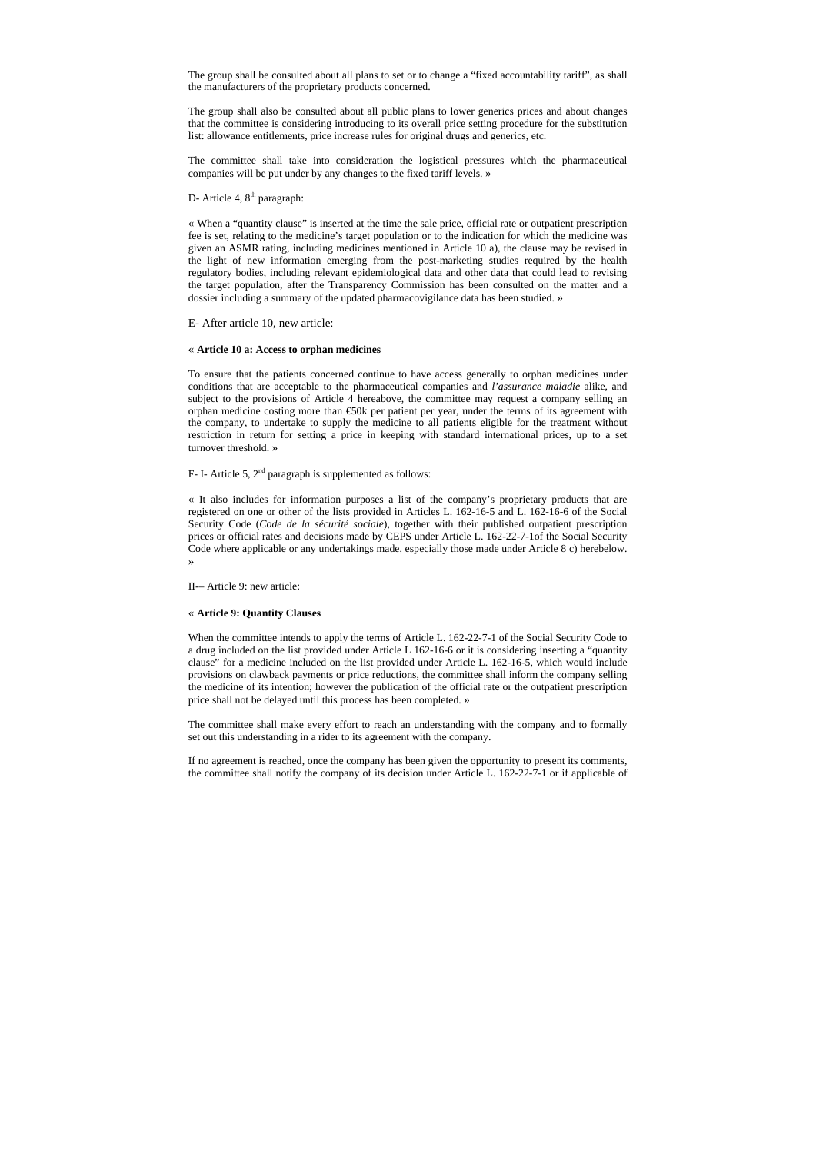The group shall be consulted about all plans to set or to change a "fixed accountability tariff", as shall the manufacturers of the proprietary products concerned.

The group shall also be consulted about all public plans to lower generics prices and about changes that the committee is considering introducing to its overall price setting procedure for the substitution list: allowance entitlements, price increase rules for original drugs and generics, etc.

The committee shall take into consideration the logistical pressures which the pharmaceutical companies will be put under by any changes to the fixed tariff levels. »

# D- Article 4, 8<sup>th</sup> paragraph:

« When a "quantity clause" is inserted at the time the sale price, official rate or outpatient prescription fee is set, relating to the medicine's target population or to the indication for which the medicine was given an ASMR rating, including medicines mentioned in Article 10 a), the clause may be revised in the light of new information emerging from the post-marketing studies required by the health regulatory bodies, including relevant epidemiological data and other data that could lead to revising the target population, after the Transparency Commission has been consulted on the matter and a dossier including a summary of the updated pharmacovigilance data has been studied. »

E- After article 10, new article:

# « **Article 10 a: Access to orphan medicines**

To ensure that the patients concerned continue to have access generally to orphan medicines under conditions that are acceptable to the pharmaceutical companies and *l'assurance maladie* alike, and subject to the provisions of Article 4 hereabove, the committee may request a company selling an orphan medicine costing more than €50k per patient per year, under the terms of its agreement with the company, to undertake to supply the medicine to all patients eligible for the treatment without restriction in return for setting a price in keeping with standard international prices, up to a set turnover threshold. »

# F- I- Article 5,  $2<sup>nd</sup>$  paragraph is supplemented as follows:

« It also includes for information purposes a list of the company's proprietary products that are registered on one or other of the lists provided in Articles L. 162-16-5 and L. 162-16-6 of the Social Security Code (*Code de la sécurité sociale*), together with their published outpatient prescription prices or official rates and decisions made by CEPS under Article L. 162-22-7-1of the Social Security Code where applicable or any undertakings made, especially those made under Article 8 c) herebelow. »

II-– Article 9: new article:

## « **Article 9: Quantity Clauses**

When the committee intends to apply the terms of Article L. 162-22-7-1 of the Social Security Code to a drug included on the list provided under Article L 162-16-6 or it is considering inserting a "quantity clause" for a medicine included on the list provided under Article L. 162-16-5, which would include provisions on clawback payments or price reductions, the committee shall inform the company selling the medicine of its intention; however the publication of the official rate or the outpatient prescription price shall not be delayed until this process has been completed. »

The committee shall make every effort to reach an understanding with the company and to formally set out this understanding in a rider to its agreement with the company.

If no agreement is reached, once the company has been given the opportunity to present its comments, the committee shall notify the company of its decision under Article L. 162-22-7-1 or if applicable of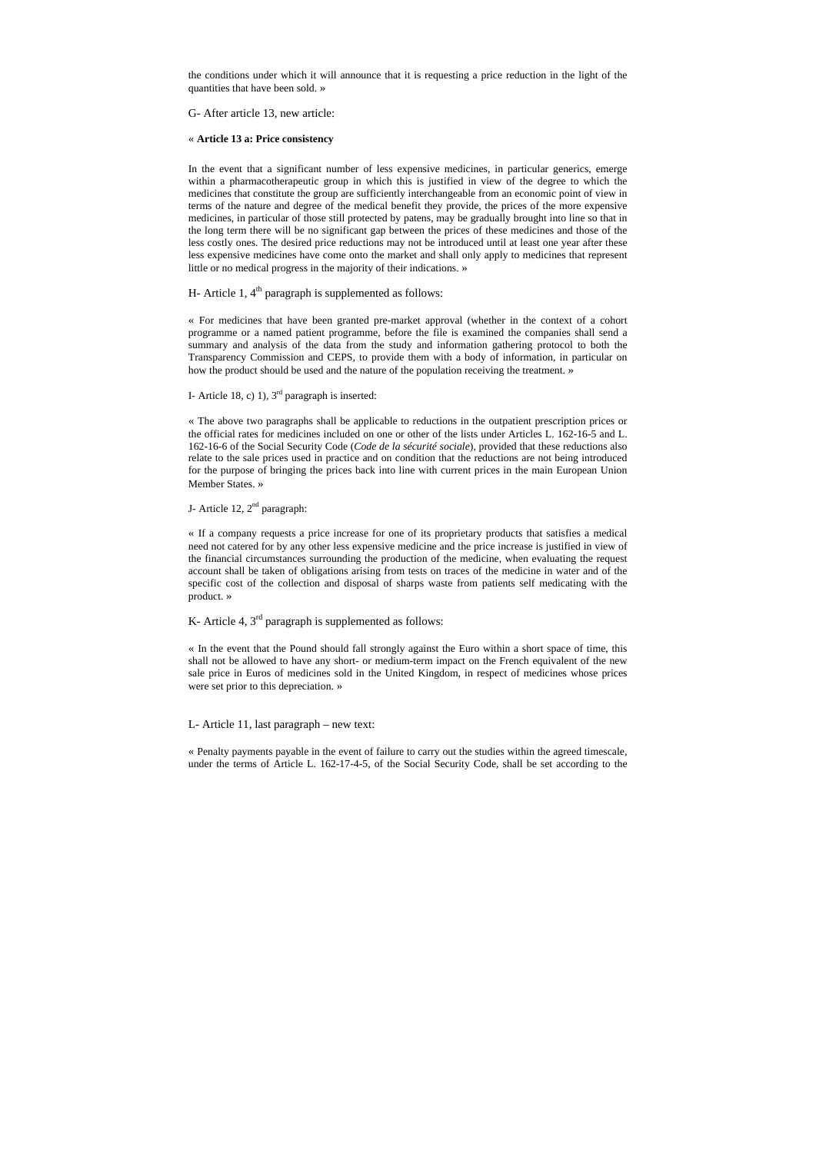the conditions under which it will announce that it is requesting a price reduction in the light of the quantities that have been sold. »

G- After article 13, new article:

## « **Article 13 a: Price consistency**

In the event that a significant number of less expensive medicines, in particular generics, emerge within a pharmacotherapeutic group in which this is justified in view of the degree to which the medicines that constitute the group are sufficiently interchangeable from an economic point of view in terms of the nature and degree of the medical benefit they provide, the prices of the more expensive medicines, in particular of those still protected by patens, may be gradually brought into line so that in the long term there will be no significant gap between the prices of these medicines and those of the less costly ones. The desired price reductions may not be introduced until at least one year after these less expensive medicines have come onto the market and shall only apply to medicines that represent little or no medical progress in the majority of their indications. »

H- Article 1,  $4<sup>th</sup>$  paragraph is supplemented as follows:

« For medicines that have been granted pre-market approval (whether in the context of a cohort programme or a named patient programme, before the file is examined the companies shall send a summary and analysis of the data from the study and information gathering protocol to both the Transparency Commission and CEPS, to provide them with a body of information, in particular on how the product should be used and the nature of the population receiving the treatment. »

I- Article 18, c) 1),  $3<sup>rd</sup>$  paragraph is inserted:

« The above two paragraphs shall be applicable to reductions in the outpatient prescription prices or the official rates for medicines included on one or other of the lists under Articles L. 162-16-5 and L. 162-16-6 of the Social Security Code (*Code de la sécurité sociale*), provided that these reductions also relate to the sale prices used in practice and on condition that the reductions are not being introduced for the purpose of bringing the prices back into line with current prices in the main European Union Member States. »

J- Article 12, 2<sup>nd</sup> paragraph:

« If a company requests a price increase for one of its proprietary products that satisfies a medical need not catered for by any other less expensive medicine and the price increase is justified in view of the financial circumstances surrounding the production of the medicine, when evaluating the request account shall be taken of obligations arising from tests on traces of the medicine in water and of the specific cost of the collection and disposal of sharps waste from patients self medicating with the product. »

K- Article 4,  $3<sup>rd</sup>$  paragraph is supplemented as follows:

« In the event that the Pound should fall strongly against the Euro within a short space of time, this shall not be allowed to have any short- or medium-term impact on the French equivalent of the new sale price in Euros of medicines sold in the United Kingdom, in respect of medicines whose prices were set prior to this depreciation. »

# L- Article 11, last paragraph – new text:

« Penalty payments payable in the event of failure to carry out the studies within the agreed timescale, under the terms of Article L. 162-17-4-5, of the Social Security Code, shall be set according to the